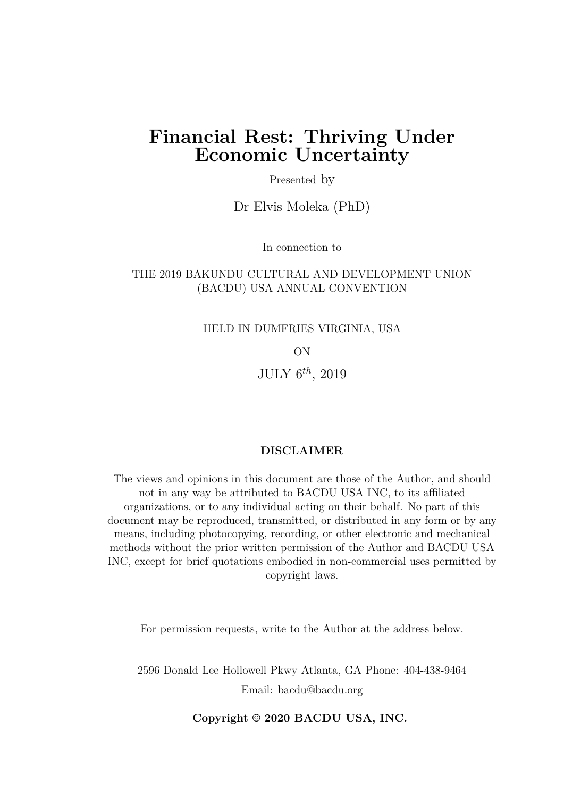## **Financial Rest: Thriving Under Economic Uncertainty**

Presented by

Dr Elvis Moleka (PhD)

In connection to

#### THE 2019 BAKUNDU CULTURAL AND DEVELOPMENT UNION (BACDU) USA ANNUAL CONVENTION

HELD IN DUMFRIES VIRGINIA, USA

ON

JULY 6*th*, 2019

#### **DISCLAIMER**

The views and opinions in this document are those of the Author, and should not in any way be attributed to BACDU USA INC, to its affiliated organizations, or to any individual acting on their behalf. No part of this document may be reproduced, transmitted, or distributed in any form or by any means, including photocopying, recording, or other electronic and mechanical methods without the prior written permission of the Author and BACDU USA INC, except for brief quotations embodied in non-commercial uses permitted by copyright laws.

For permission requests, write to the Author at the address below.

2596 Donald Lee Hollowell Pkwy Atlanta, GA Phone: 404-438-9464 Email: bacdu@bacdu.org

**Copyright © 2020 BACDU USA, INC.**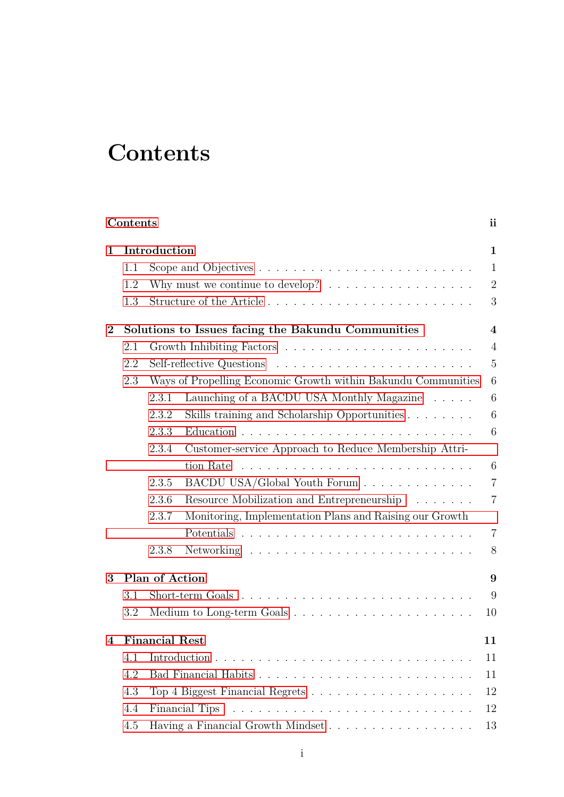# <span id="page-1-0"></span>**Contents**

|              | Contents |                                                                                   | <i>ii</i>        |
|--------------|----------|-----------------------------------------------------------------------------------|------------------|
| $\mathbf{1}$ |          | Introduction                                                                      | $\mathbf{1}$     |
|              | 1.1      |                                                                                   | $\mathbf{1}$     |
|              | 1.2      | Why must we continue to develop? $\ldots \ldots \ldots \ldots \ldots$             | $\overline{2}$   |
|              | 1.3      | Structure of the Article                                                          | 3                |
| $\bf{2}$     |          | Solutions to Issues facing the Bakundu Communities                                | $\boldsymbol{4}$ |
|              | 2.1      |                                                                                   | $\overline{4}$   |
|              | 2.2      |                                                                                   | $\overline{5}$   |
|              | 2.3      | Ways of Propelling Economic Growth within Bakundu Communities                     | $6\phantom{.}6$  |
|              |          | Launching of a BACDU USA Monthly Magazine<br>2.3.1                                | $\,6$            |
|              |          | Skills training and Scholarship Opportunities<br>2.3.2                            | 6                |
|              |          | 2.3.3                                                                             | $6\phantom{.}6$  |
|              |          | Customer-service Approach to Reduce Membership Attri-<br>2.3.4                    |                  |
|              |          | tion Rate $\ldots \ldots \ldots \ldots \ldots \ldots \ldots \ldots \ldots \ldots$ | 6                |
|              |          | BACDU USA/Global Youth Forum<br>2.3.5                                             | $\overline{7}$   |
|              |          | Resource Mobilization and Entrepreneurship<br>2.3.6                               | $\overline{7}$   |
|              |          | Monitoring, Implementation Plans and Raising our Growth<br>2.3.7                  |                  |
|              |          |                                                                                   | $\overline{7}$   |
|              |          | 2.3.8                                                                             | 8                |
| 3            |          | Plan of Action                                                                    | 9                |
|              | 3.1      |                                                                                   | 9                |
|              | 3.2      |                                                                                   | 10               |
| 4            |          | <b>Financial Rest</b>                                                             | 11               |
|              | 4.1      |                                                                                   | 11               |
|              | 4.2      |                                                                                   | 11               |
|              | 4.3      |                                                                                   | 12               |
|              | 4.4      | Financial Tips                                                                    | 12               |
|              | 4.5      | Having a Financial Growth Mindset                                                 | 13               |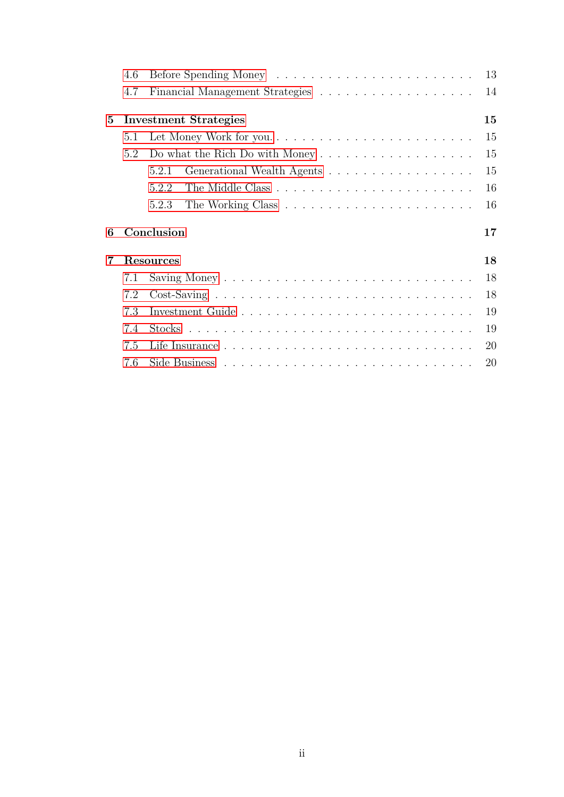|   | 4.6 |                                                                                 | 13 |
|---|-----|---------------------------------------------------------------------------------|----|
|   | 4.7 |                                                                                 | 14 |
| 5 |     | <b>Investment Strategies</b>                                                    | 15 |
|   | 5.1 | Let Money Work for you                                                          | 15 |
|   | 5.2 | Do what the Rich Do with Money $\dots \dots \dots \dots \dots \dots \dots$      | 15 |
|   |     | Generational Wealth Agents<br>5.2.1                                             | 15 |
|   |     | 5.2.2                                                                           | 16 |
|   |     | 5.2.3                                                                           | 16 |
|   |     |                                                                                 |    |
| 6 |     | Conclusion                                                                      | 17 |
| 7 |     | <b>Resources</b>                                                                | 18 |
|   | 7.1 |                                                                                 | 18 |
|   | 7.2 | $Cost-Saving \dots \dots \dots \dots \dots \dots \dots \dots \dots \dots \dots$ | 18 |
|   | 7.3 |                                                                                 | 19 |
|   | 7.4 |                                                                                 | 19 |
|   | 7.5 |                                                                                 | 20 |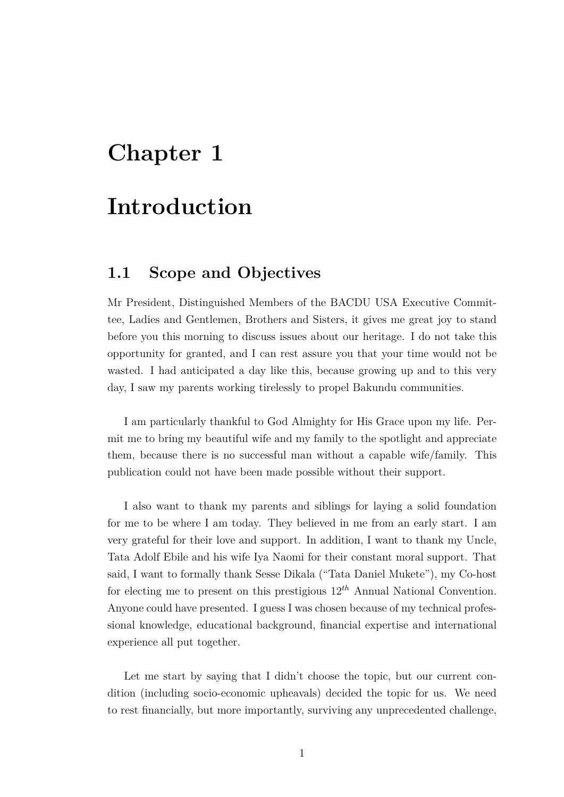# <span id="page-3-0"></span>**Introduction**

## <span id="page-3-1"></span>**1.1 Scope and Objectives**

Mr President, Distinguished Members of the BACDU USA Executive Committee, Ladies and Gentlemen, Brothers and Sisters, it gives me great joy to stand before you this morning to discuss issues about our heritage. I do not take this opportunity for granted, and I can rest assure you that your time would not be wasted. I had anticipated a day like this, because growing up and to this very day, I saw my parents working tirelessly to propel Bakundu communities.

I am particularly thankful to God Almighty for His Grace upon my life. Permit me to bring my beautiful wife and my family to the spotlight and appreciate them, because there is no successful man without a capable wife/family. This publication could not have been made possible without their support.

I also want to thank my parents and siblings for laying a solid foundation for me to be where I am today. They believed in me from an early start. I am very grateful for their love and support. In addition, I want to thank my Uncle, Tata Adolf Ebile and his wife Iya Naomi for their constant moral support. That said, I want to formally thank Sesse Dikala ("Tata Daniel Mukete"), my Co-host for electing me to present on this prestigious 12*th* Annual National Convention. Anyone could have presented. I guess I was chosen because of my technical professional knowledge, educational background, financial expertise and international experience all put together.

Let me start by saying that I didn't choose the topic, but our current condition (including socio-economic upheavals) decided the topic for us. We need to rest financially, but more importantly, surviving any unprecedented challenge,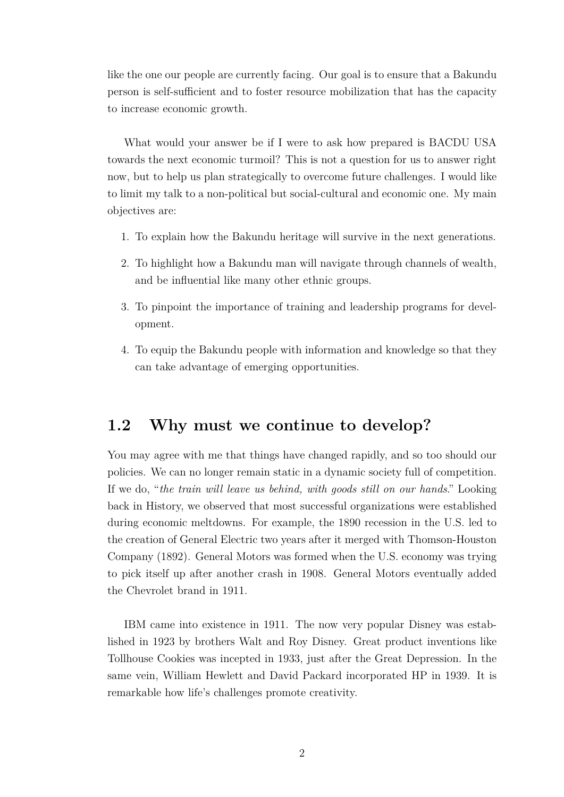like the one our people are currently facing. Our goal is to ensure that a Bakundu person is self-sufficient and to foster resource mobilization that has the capacity to increase economic growth.

What would your answer be if I were to ask how prepared is BACDU USA towards the next economic turmoil? This is not a question for us to answer right now, but to help us plan strategically to overcome future challenges. I would like to limit my talk to a non-political but social-cultural and economic one. My main objectives are:

- 1. To explain how the Bakundu heritage will survive in the next generations.
- 2. To highlight how a Bakundu man will navigate through channels of wealth, and be influential like many other ethnic groups.
- 3. To pinpoint the importance of training and leadership programs for development.
- 4. To equip the Bakundu people with information and knowledge so that they can take advantage of emerging opportunities.

#### <span id="page-4-0"></span>**1.2 Why must we continue to develop?**

You may agree with me that things have changed rapidly, and so too should our policies. We can no longer remain static in a dynamic society full of competition. If we do, "*the train will leave us behind, with goods still on our hands*." Looking back in History, we observed that most successful organizations were established during economic meltdowns. For example, the 1890 recession in the U.S. led to the creation of General Electric two years after it merged with Thomson-Houston Company (1892). General Motors was formed when the U.S. economy was trying to pick itself up after another crash in 1908. General Motors eventually added the Chevrolet brand in 1911.

IBM came into existence in 1911. The now very popular Disney was established in 1923 by brothers Walt and Roy Disney. Great product inventions like Tollhouse Cookies was incepted in 1933, just after the Great Depression. In the same vein, William Hewlett and David Packard incorporated HP in 1939. It is remarkable how life's challenges promote creativity.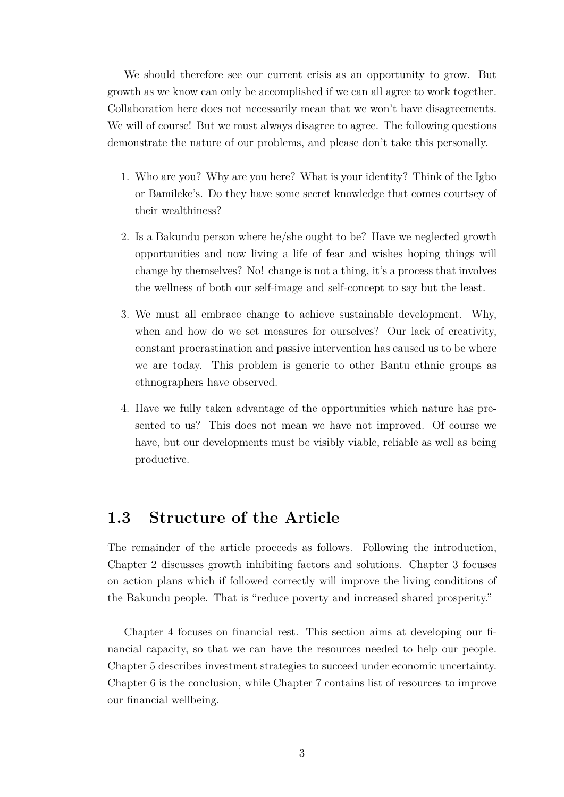We should therefore see our current crisis as an opportunity to grow. But growth as we know can only be accomplished if we can all agree to work together. Collaboration here does not necessarily mean that we won't have disagreements. We will of course! But we must always disagree to agree. The following questions demonstrate the nature of our problems, and please don't take this personally.

- 1. Who are you? Why are you here? What is your identity? Think of the Igbo or Bamileke's. Do they have some secret knowledge that comes courtsey of their wealthiness?
- 2. Is a Bakundu person where he/she ought to be? Have we neglected growth opportunities and now living a life of fear and wishes hoping things will change by themselves? No! change is not a thing, it's a process that involves the wellness of both our self-image and self-concept to say but the least.
- 3. We must all embrace change to achieve sustainable development. Why, when and how do we set measures for ourselves? Our lack of creativity, constant procrastination and passive intervention has caused us to be where we are today. This problem is generic to other Bantu ethnic groups as ethnographers have observed.
- 4. Have we fully taken advantage of the opportunities which nature has presented to us? This does not mean we have not improved. Of course we have, but our developments must be visibly viable, reliable as well as being productive.

#### <span id="page-5-0"></span>**1.3 Structure of the Article**

The remainder of the article proceeds as follows. Following the introduction, Chapter 2 discusses growth inhibiting factors and solutions. Chapter 3 focuses on action plans which if followed correctly will improve the living conditions of the Bakundu people. That is "reduce poverty and increased shared prosperity."

Chapter 4 focuses on financial rest. This section aims at developing our financial capacity, so that we can have the resources needed to help our people. Chapter 5 describes investment strategies to succeed under economic uncertainty. Chapter 6 is the conclusion, while Chapter 7 contains list of resources to improve our financial wellbeing.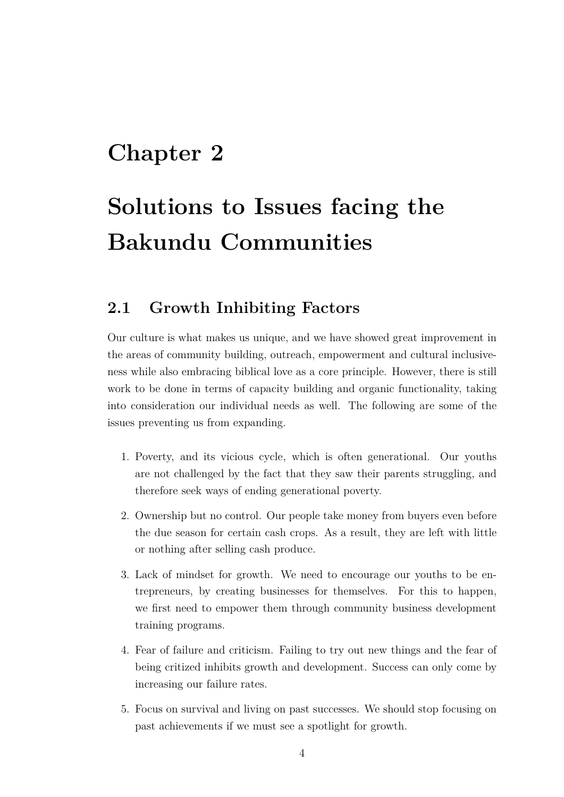# <span id="page-6-0"></span>**Solutions to Issues facing the Bakundu Communities**

## <span id="page-6-1"></span>**2.1 Growth Inhibiting Factors**

Our culture is what makes us unique, and we have showed great improvement in the areas of community building, outreach, empowerment and cultural inclusiveness while also embracing biblical love as a core principle. However, there is still work to be done in terms of capacity building and organic functionality, taking into consideration our individual needs as well. The following are some of the issues preventing us from expanding.

- 1. Poverty, and its vicious cycle, which is often generational. Our youths are not challenged by the fact that they saw their parents struggling, and therefore seek ways of ending generational poverty.
- 2. Ownership but no control. Our people take money from buyers even before the due season for certain cash crops. As a result, they are left with little or nothing after selling cash produce.
- 3. Lack of mindset for growth. We need to encourage our youths to be entrepreneurs, by creating businesses for themselves. For this to happen, we first need to empower them through community business development training programs.
- 4. Fear of failure and criticism. Failing to try out new things and the fear of being critized inhibits growth and development. Success can only come by increasing our failure rates.
- 5. Focus on survival and living on past successes. We should stop focusing on past achievements if we must see a spotlight for growth.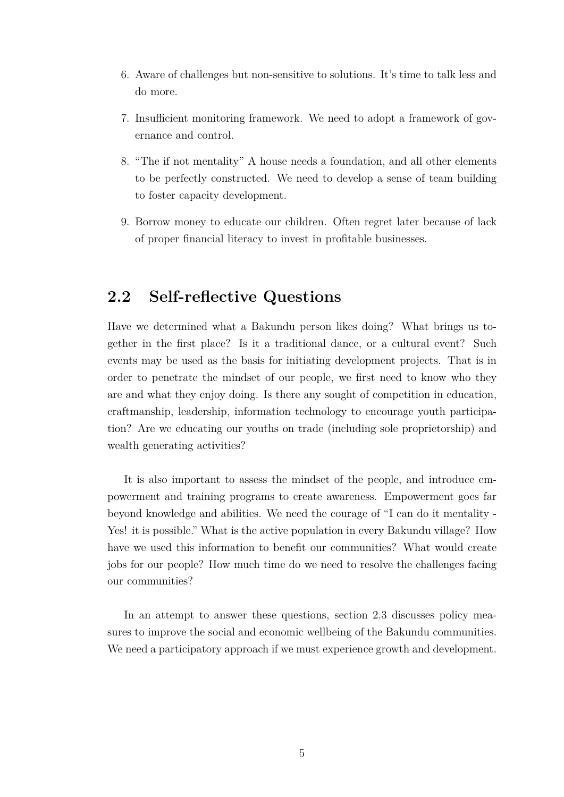- 6. Aware of challenges but non-sensitive to solutions. It's time to talk less and do more.
- 7. Insufficient monitoring framework. We need to adopt a framework of governance and control.
- 8. "The if not mentality" A house needs a foundation, and all other elements to be perfectly constructed. We need to develop a sense of team building to foster capacity development.
- 9. Borrow money to educate our children. Often regret later because of lack of proper financial literacy to invest in profitable businesses.

### <span id="page-7-0"></span>**2.2 Self-reflective Questions**

Have we determined what a Bakundu person likes doing? What brings us together in the first place? Is it a traditional dance, or a cultural event? Such events may be used as the basis for initiating development projects. That is in order to penetrate the mindset of our people, we first need to know who they are and what they enjoy doing. Is there any sought of competition in education, craftmanship, leadership, information technology to encourage youth participation? Are we educating our youths on trade (including sole proprietorship) and wealth generating activities?

It is also important to assess the mindset of the people, and introduce empowerment and training programs to create awareness. Empowerment goes far beyond knowledge and abilities. We need the courage of "I can do it mentality - Yes! it is possible." What is the active population in every Bakundu village? How have we used this information to benefit our communities? What would create jobs for our people? How much time do we need to resolve the challenges facing our communities?

In an attempt to answer these questions, section 2.3 discusses policy measures to improve the social and economic wellbeing of the Bakundu communities. We need a participatory approach if we must experience growth and development.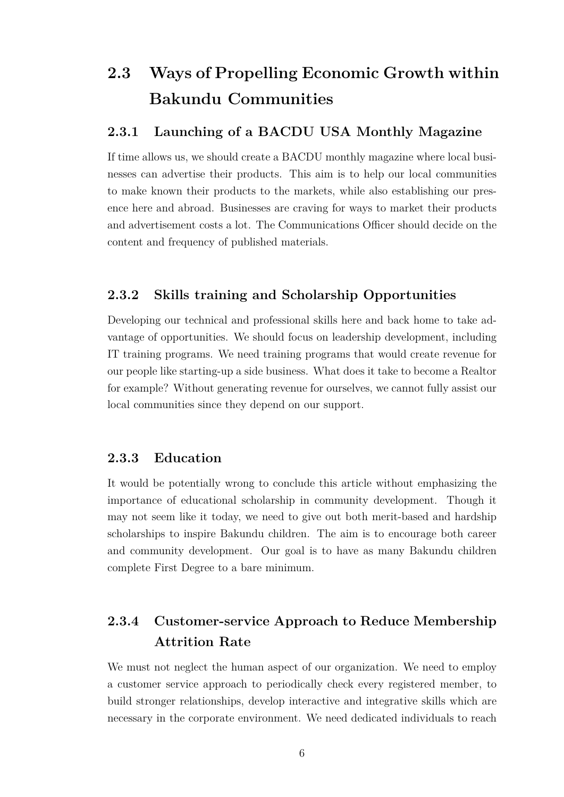## <span id="page-8-0"></span>**2.3 Ways of Propelling Economic Growth within Bakundu Communities**

#### <span id="page-8-1"></span>**2.3.1 Launching of a BACDU USA Monthly Magazine**

If time allows us, we should create a BACDU monthly magazine where local businesses can advertise their products. This aim is to help our local communities to make known their products to the markets, while also establishing our presence here and abroad. Businesses are craving for ways to market their products and advertisement costs a lot. The Communications Officer should decide on the content and frequency of published materials.

#### <span id="page-8-2"></span>**2.3.2 Skills training and Scholarship Opportunities**

Developing our technical and professional skills here and back home to take advantage of opportunities. We should focus on leadership development, including IT training programs. We need training programs that would create revenue for our people like starting-up a side business. What does it take to become a Realtor for example? Without generating revenue for ourselves, we cannot fully assist our local communities since they depend on our support.

#### <span id="page-8-3"></span>**2.3.3 Education**

It would be potentially wrong to conclude this article without emphasizing the importance of educational scholarship in community development. Though it may not seem like it today, we need to give out both merit-based and hardship scholarships to inspire Bakundu children. The aim is to encourage both career and community development. Our goal is to have as many Bakundu children complete First Degree to a bare minimum.

## <span id="page-8-4"></span>**2.3.4 Customer-service Approach to Reduce Membership Attrition Rate**

We must not neglect the human aspect of our organization. We need to employ a customer service approach to periodically check every registered member, to build stronger relationships, develop interactive and integrative skills which are necessary in the corporate environment. We need dedicated individuals to reach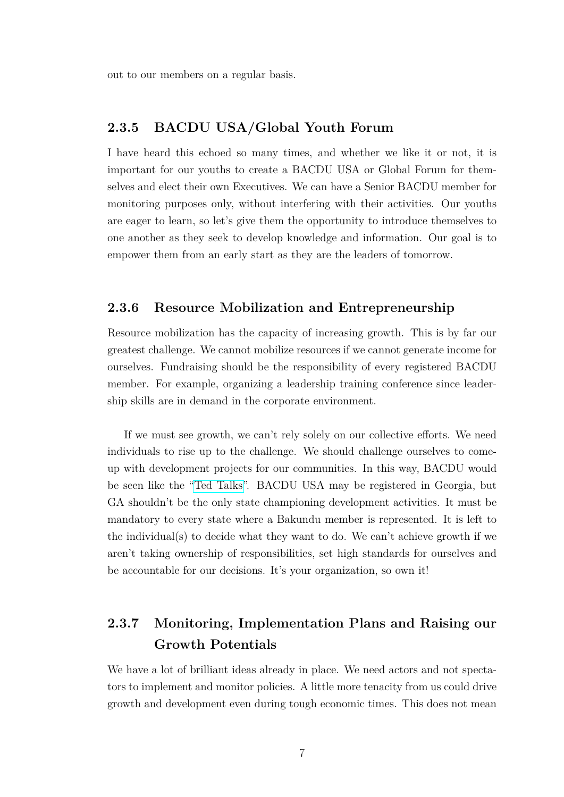out to our members on a regular basis.

#### <span id="page-9-0"></span>**2.3.5 BACDU USA/Global Youth Forum**

I have heard this echoed so many times, and whether we like it or not, it is important for our youths to create a BACDU USA or Global Forum for themselves and elect their own Executives. We can have a Senior BACDU member for monitoring purposes only, without interfering with their activities. Our youths are eager to learn, so let's give them the opportunity to introduce themselves to one another as they seek to develop knowledge and information. Our goal is to empower them from an early start as they are the leaders of tomorrow.

#### <span id="page-9-1"></span>**2.3.6 Resource Mobilization and Entrepreneurship**

Resource mobilization has the capacity of increasing growth. This is by far our greatest challenge. We cannot mobilize resources if we cannot generate income for ourselves. Fundraising should be the responsibility of every registered BACDU member. For example, organizing a leadership training conference since leadership skills are in demand in the corporate environment.

If we must see growth, we can't rely solely on our collective efforts. We need individuals to rise up to the challenge. We should challenge ourselves to comeup with development projects for our communities. In this way, BACDU would be seen like the ["Ted Talks"](https://www.ted.com/talks). BACDU USA may be registered in Georgia, but GA shouldn't be the only state championing development activities. It must be mandatory to every state where a Bakundu member is represented. It is left to the individual(s) to decide what they want to do. We can't achieve growth if we aren't taking ownership of responsibilities, set high standards for ourselves and be accountable for our decisions. It's your organization, so own it!

## <span id="page-9-2"></span>**2.3.7 Monitoring, Implementation Plans and Raising our Growth Potentials**

We have a lot of brilliant ideas already in place. We need actors and not spectators to implement and monitor policies. A little more tenacity from us could drive growth and development even during tough economic times. This does not mean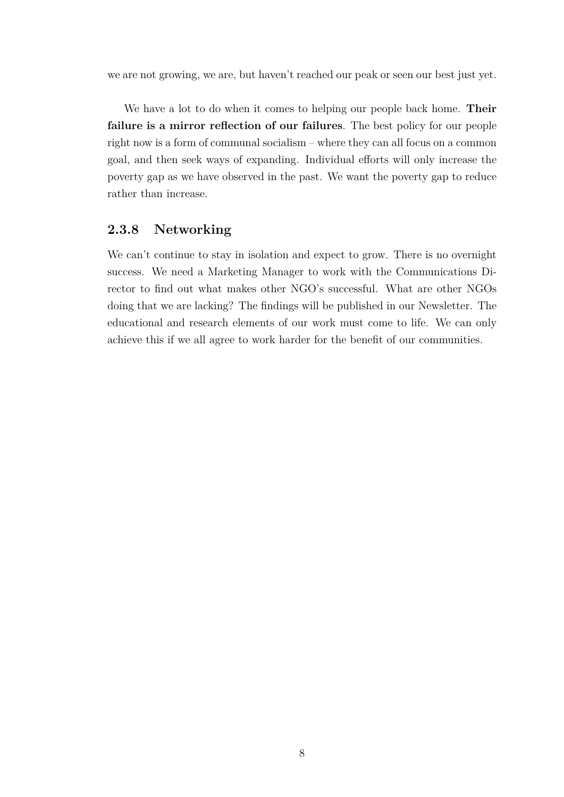we are not growing, we are, but haven't reached our peak or seen our best just yet.

We have a lot to do when it comes to helping our people back home. **Their failure is a mirror reflection of our failures**. The best policy for our people right now is a form of communal socialism – where they can all focus on a common goal, and then seek ways of expanding. Individual efforts will only increase the poverty gap as we have observed in the past. We want the poverty gap to reduce rather than increase.

#### <span id="page-10-0"></span>**2.3.8 Networking**

We can't continue to stay in isolation and expect to grow. There is no overnight success. We need a Marketing Manager to work with the Communications Director to find out what makes other NGO's successful. What are other NGOs doing that we are lacking? The findings will be published in our Newsletter. The educational and research elements of our work must come to life. We can only achieve this if we all agree to work harder for the benefit of our communities.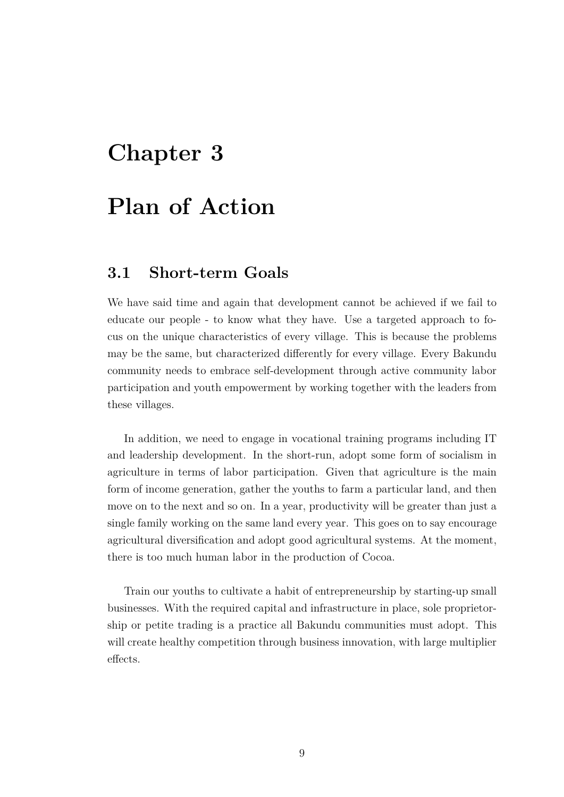# <span id="page-11-0"></span>**Plan of Action**

#### <span id="page-11-1"></span>**3.1 Short-term Goals**

We have said time and again that development cannot be achieved if we fail to educate our people - to know what they have. Use a targeted approach to focus on the unique characteristics of every village. This is because the problems may be the same, but characterized differently for every village. Every Bakundu community needs to embrace self-development through active community labor participation and youth empowerment by working together with the leaders from these villages.

In addition, we need to engage in vocational training programs including IT and leadership development. In the short-run, adopt some form of socialism in agriculture in terms of labor participation. Given that agriculture is the main form of income generation, gather the youths to farm a particular land, and then move on to the next and so on. In a year, productivity will be greater than just a single family working on the same land every year. This goes on to say encourage agricultural diversification and adopt good agricultural systems. At the moment, there is too much human labor in the production of Cocoa.

Train our youths to cultivate a habit of entrepreneurship by starting-up small businesses. With the required capital and infrastructure in place, sole proprietorship or petite trading is a practice all Bakundu communities must adopt. This will create healthy competition through business innovation, with large multiplier effects.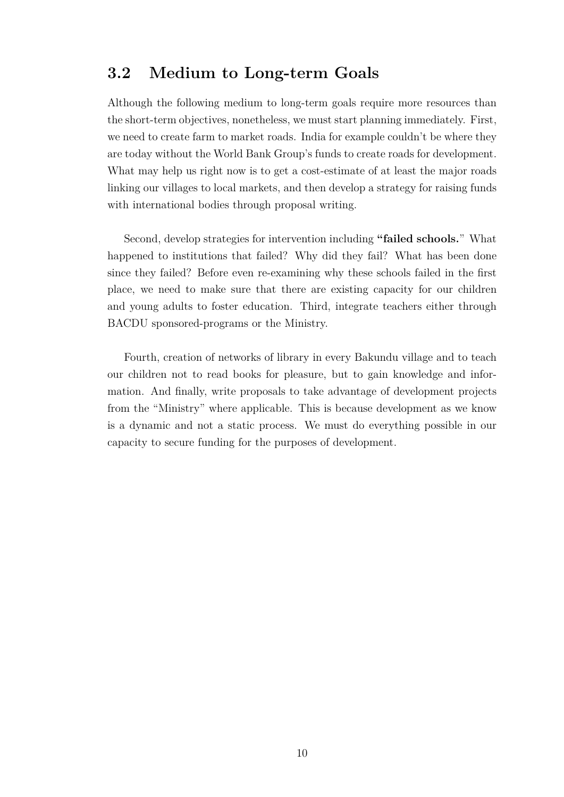#### <span id="page-12-0"></span>**3.2 Medium to Long-term Goals**

Although the following medium to long-term goals require more resources than the short-term objectives, nonetheless, we must start planning immediately. First, we need to create farm to market roads. India for example couldn't be where they are today without the World Bank Group's funds to create roads for development. What may help us right now is to get a cost-estimate of at least the major roads linking our villages to local markets, and then develop a strategy for raising funds with international bodies through proposal writing.

Second, develop strategies for intervention including **"failed schools.**" What happened to institutions that failed? Why did they fail? What has been done since they failed? Before even re-examining why these schools failed in the first place, we need to make sure that there are existing capacity for our children and young adults to foster education. Third, integrate teachers either through BACDU sponsored-programs or the Ministry.

Fourth, creation of networks of library in every Bakundu village and to teach our children not to read books for pleasure, but to gain knowledge and information. And finally, write proposals to take advantage of development projects from the "Ministry" where applicable. This is because development as we know is a dynamic and not a static process. We must do everything possible in our capacity to secure funding for the purposes of development.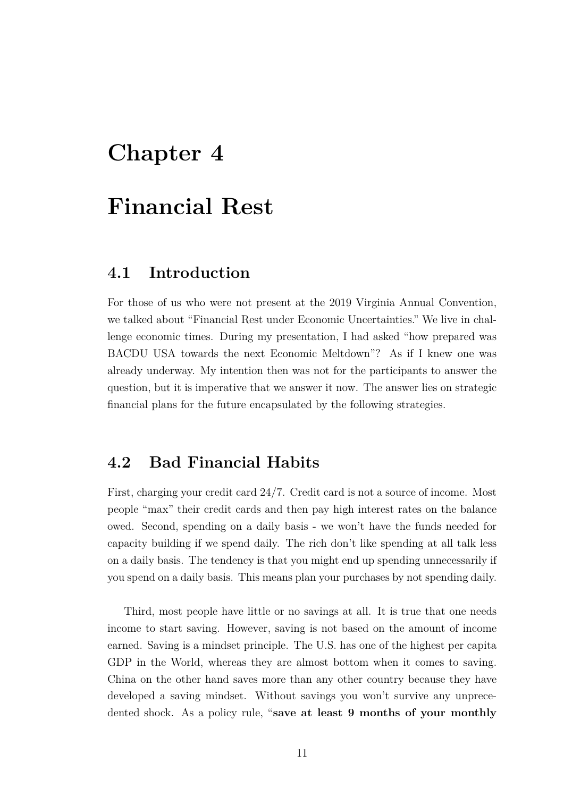# <span id="page-13-0"></span>**Financial Rest**

#### <span id="page-13-1"></span>**4.1 Introduction**

For those of us who were not present at the 2019 Virginia Annual Convention, we talked about "Financial Rest under Economic Uncertainties." We live in challenge economic times. During my presentation, I had asked "how prepared was BACDU USA towards the next Economic Meltdown"? As if I knew one was already underway. My intention then was not for the participants to answer the question, but it is imperative that we answer it now. The answer lies on strategic financial plans for the future encapsulated by the following strategies.

### <span id="page-13-2"></span>**4.2 Bad Financial Habits**

First, charging your credit card 24/7. Credit card is not a source of income. Most people "max" their credit cards and then pay high interest rates on the balance owed. Second, spending on a daily basis - we won't have the funds needed for capacity building if we spend daily. The rich don't like spending at all talk less on a daily basis. The tendency is that you might end up spending unnecessarily if you spend on a daily basis. This means plan your purchases by not spending daily.

Third, most people have little or no savings at all. It is true that one needs income to start saving. However, saving is not based on the amount of income earned. Saving is a mindset principle. The U.S. has one of the highest per capita GDP in the World, whereas they are almost bottom when it comes to saving. China on the other hand saves more than any other country because they have developed a saving mindset. Without savings you won't survive any unprecedented shock. As a policy rule, "**save at least 9 months of your monthly**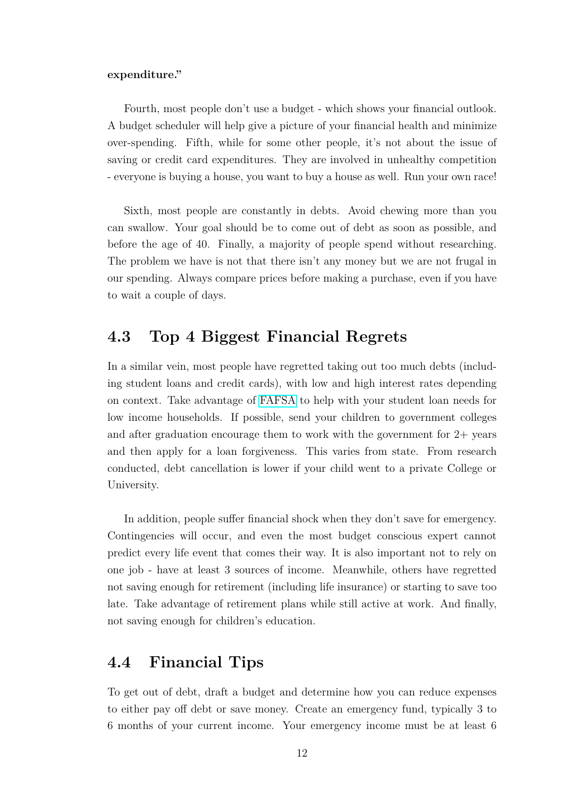#### **expenditure."**

Fourth, most people don't use a budget - which shows your financial outlook. A budget scheduler will help give a picture of your financial health and minimize over-spending. Fifth, while for some other people, it's not about the issue of saving or credit card expenditures. They are involved in unhealthy competition - everyone is buying a house, you want to buy a house as well. Run your own race!

Sixth, most people are constantly in debts. Avoid chewing more than you can swallow. Your goal should be to come out of debt as soon as possible, and before the age of 40. Finally, a majority of people spend without researching. The problem we have is not that there isn't any money but we are not frugal in our spending. Always compare prices before making a purchase, even if you have to wait a couple of days.

### <span id="page-14-0"></span>**4.3 Top 4 Biggest Financial Regrets**

In a similar vein, most people have regretted taking out too much debts (including student loans and credit cards), with low and high interest rates depending on context. Take advantage of [FAFSA](https://studentaid.gov/d/fafsa) to help with your student loan needs for low income households. If possible, send your children to government colleges and after graduation encourage them to work with the government for  $2+$  years and then apply for a loan forgiveness. This varies from state. From research conducted, debt cancellation is lower if your child went to a private College or University.

In addition, people suffer financial shock when they don't save for emergency. Contingencies will occur, and even the most budget conscious expert cannot predict every life event that comes their way. It is also important not to rely on one job - have at least 3 sources of income. Meanwhile, others have regretted not saving enough for retirement (including life insurance) or starting to save too late. Take advantage of retirement plans while still active at work. And finally, not saving enough for children's education.

#### <span id="page-14-1"></span>**4.4 Financial Tips**

To get out of debt, draft a budget and determine how you can reduce expenses to either pay off debt or save money. Create an emergency fund, typically 3 to 6 months of your current income. Your emergency income must be at least 6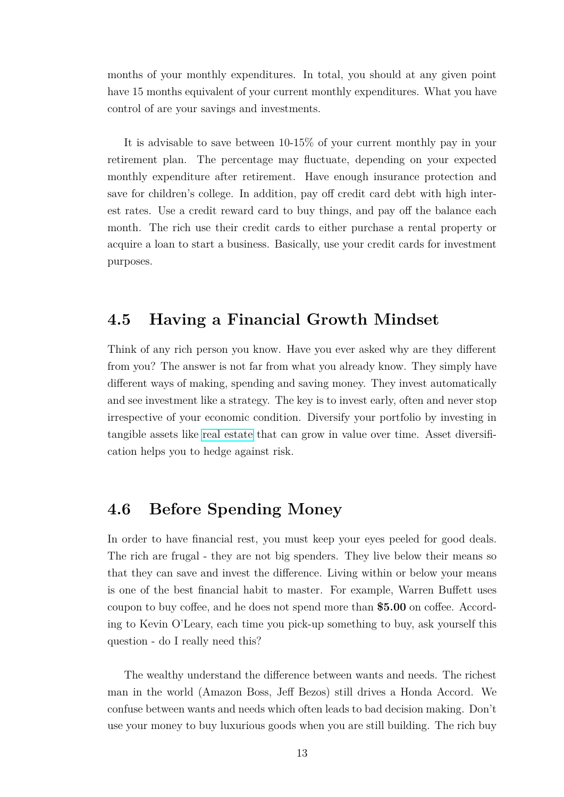months of your monthly expenditures. In total, you should at any given point have 15 months equivalent of your current monthly expenditures. What you have control of are your savings and investments.

It is advisable to save between 10-15% of your current monthly pay in your retirement plan. The percentage may fluctuate, depending on your expected monthly expenditure after retirement. Have enough insurance protection and save for children's college. In addition, pay off credit card debt with high interest rates. Use a credit reward card to buy things, and pay off the balance each month. The rich use their credit cards to either purchase a rental property or acquire a loan to start a business. Basically, use your credit cards for investment purposes.

#### <span id="page-15-0"></span>**4.5 Having a Financial Growth Mindset**

Think of any rich person you know. Have you ever asked why are they different from you? The answer is not far from what you already know. They simply have different ways of making, spending and saving money. They invest automatically and see investment like a strategy. The key is to invest early, often and never stop irrespective of your economic condition. Diversify your portfolio by investing in tangible assets like [real estate](https://reits.com/) that can grow in value over time. Asset diversification helps you to hedge against risk.

### <span id="page-15-1"></span>**4.6 Before Spending Money**

In order to have financial rest, you must keep your eyes peeled for good deals. The rich are frugal - they are not big spenders. They live below their means so that they can save and invest the difference. Living within or below your means is one of the best financial habit to master. For example, Warren Buffett uses coupon to buy coffee, and he does not spend more than **\$5.00** on coffee. According to Kevin O'Leary, each time you pick-up something to buy, ask yourself this question - do I really need this?

The wealthy understand the difference between wants and needs. The richest man in the world (Amazon Boss, Jeff Bezos) still drives a Honda Accord. We confuse between wants and needs which often leads to bad decision making. Don't use your money to buy luxurious goods when you are still building. The rich buy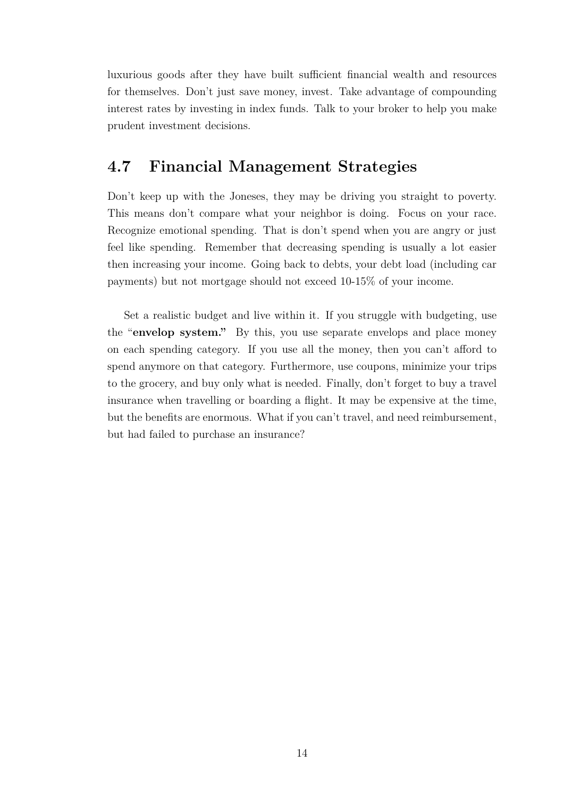luxurious goods after they have built sufficient financial wealth and resources for themselves. Don't just save money, invest. Take advantage of compounding interest rates by investing in index funds. Talk to your broker to help you make prudent investment decisions.

### <span id="page-16-0"></span>**4.7 Financial Management Strategies**

Don't keep up with the Joneses, they may be driving you straight to poverty. This means don't compare what your neighbor is doing. Focus on your race. Recognize emotional spending. That is don't spend when you are angry or just feel like spending. Remember that decreasing spending is usually a lot easier then increasing your income. Going back to debts, your debt load (including car payments) but not mortgage should not exceed 10-15% of your income.

Set a realistic budget and live within it. If you struggle with budgeting, use the "**envelop system."** By this, you use separate envelops and place money on each spending category. If you use all the money, then you can't afford to spend anymore on that category. Furthermore, use coupons, minimize your trips to the grocery, and buy only what is needed. Finally, don't forget to buy a travel insurance when travelling or boarding a flight. It may be expensive at the time, but the benefits are enormous. What if you can't travel, and need reimbursement, but had failed to purchase an insurance?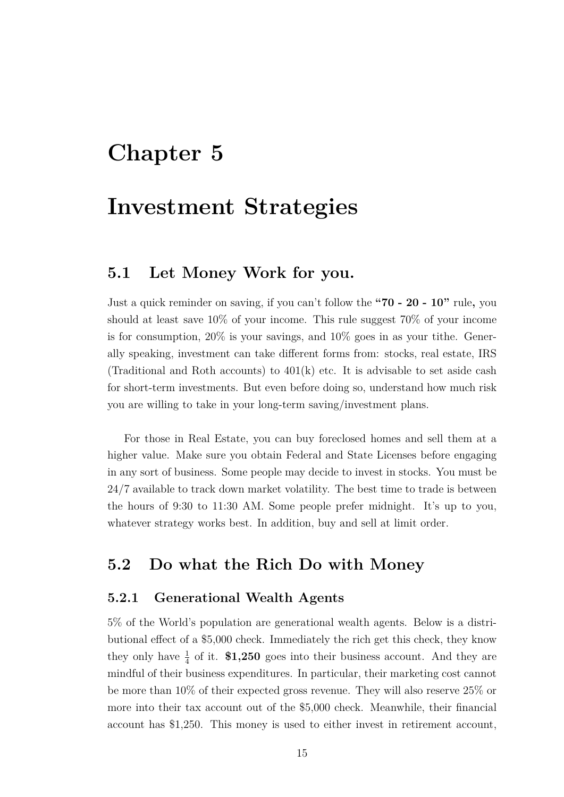## <span id="page-17-0"></span>**Investment Strategies**

#### <span id="page-17-1"></span>**5.1 Let Money Work for you.**

Just a quick reminder on saving, if you can't follow the **"70 - 20 - 10"** rule**,** you should at least save 10% of your income. This rule suggest 70% of your income is for consumption,  $20\%$  is your savings, and  $10\%$  goes in as your tithe. Generally speaking, investment can take different forms from: stocks, real estate, IRS (Traditional and Roth accounts) to  $401(k)$  etc. It is advisable to set aside cash for short-term investments. But even before doing so, understand how much risk you are willing to take in your long-term saving/investment plans.

For those in Real Estate, you can buy foreclosed homes and sell them at a higher value. Make sure you obtain Federal and State Licenses before engaging in any sort of business. Some people may decide to invest in stocks. You must be 24/7 available to track down market volatility. The best time to trade is between the hours of 9:30 to 11:30 AM. Some people prefer midnight. It's up to you, whatever strategy works best. In addition, buy and sell at limit order.

#### <span id="page-17-2"></span>**5.2 Do what the Rich Do with Money**

#### <span id="page-17-3"></span>**5.2.1 Generational Wealth Agents**

5% of the World's population are generational wealth agents. Below is a distributional effect of a \$5,000 check. Immediately the rich get this check, they know they only have  $\frac{1}{4}$  of it. **\$1,250** goes into their business account. And they are mindful of their business expenditures. In particular, their marketing cost cannot be more than 10% of their expected gross revenue. They will also reserve 25% or more into their tax account out of the \$5,000 check. Meanwhile, their financial account has \$1,250. This money is used to either invest in retirement account,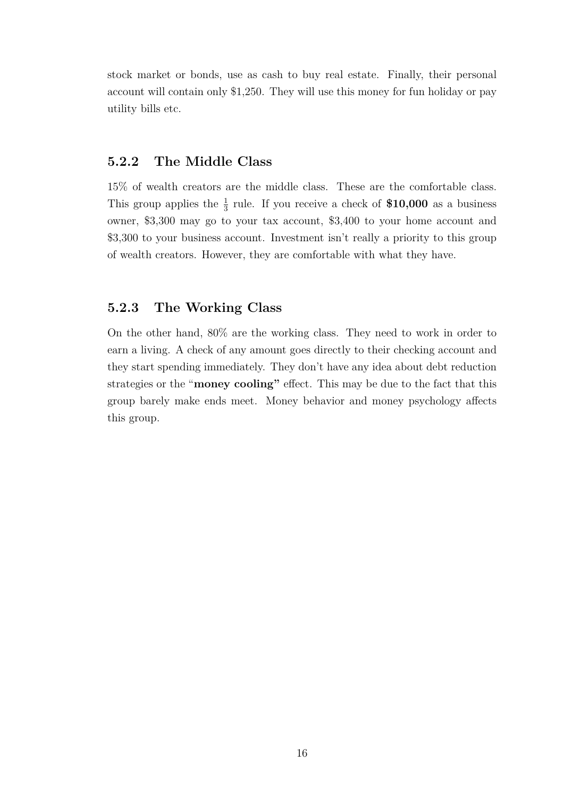stock market or bonds, use as cash to buy real estate. Finally, their personal account will contain only \$1,250. They will use this money for fun holiday or pay utility bills etc.

#### <span id="page-18-0"></span>**5.2.2 The Middle Class**

15% of wealth creators are the middle class. These are the comfortable class. This group applies the  $\frac{1}{3}$  rule. If you receive a check of **\$10,000** as a business owner, \$3,300 may go to your tax account, \$3,400 to your home account and \$3,300 to your business account. Investment isn't really a priority to this group of wealth creators. However, they are comfortable with what they have.

#### <span id="page-18-1"></span>**5.2.3 The Working Class**

On the other hand, 80% are the working class. They need to work in order to earn a living. A check of any amount goes directly to their checking account and they start spending immediately. They don't have any idea about debt reduction strategies or the "**money cooling"** effect. This may be due to the fact that this group barely make ends meet. Money behavior and money psychology affects this group.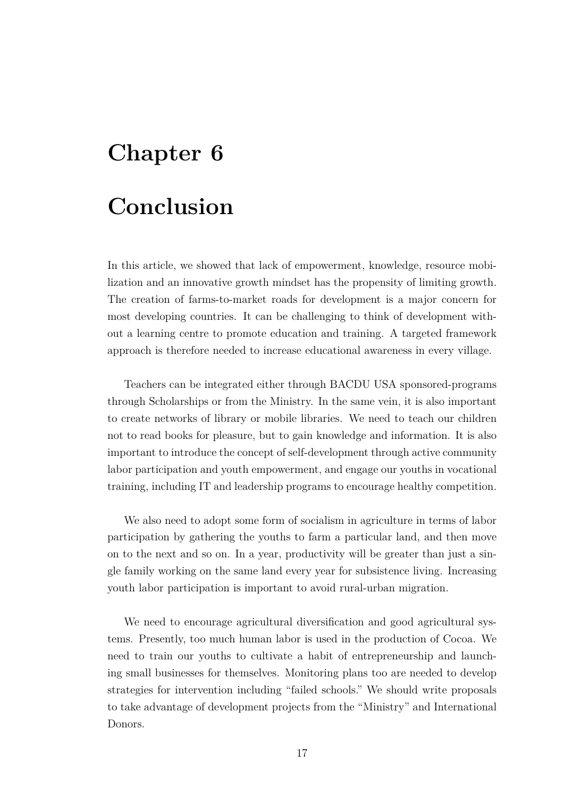# <span id="page-19-0"></span>**Conclusion**

In this article, we showed that lack of empowerment, knowledge, resource mobilization and an innovative growth mindset has the propensity of limiting growth. The creation of farms-to-market roads for development is a major concern for most developing countries. It can be challenging to think of development without a learning centre to promote education and training. A targeted framework approach is therefore needed to increase educational awareness in every village.

Teachers can be integrated either through BACDU USA sponsored-programs through Scholarships or from the Ministry. In the same vein, it is also important to create networks of library or mobile libraries. We need to teach our children not to read books for pleasure, but to gain knowledge and information. It is also important to introduce the concept of self-development through active community labor participation and youth empowerment, and engage our youths in vocational training, including IT and leadership programs to encourage healthy competition.

We also need to adopt some form of socialism in agriculture in terms of labor participation by gathering the youths to farm a particular land, and then move on to the next and so on. In a year, productivity will be greater than just a single family working on the same land every year for subsistence living. Increasing youth labor participation is important to avoid rural-urban migration.

We need to encourage agricultural diversification and good agricultural systems. Presently, too much human labor is used in the production of Cocoa. We need to train our youths to cultivate a habit of entrepreneurship and launching small businesses for themselves. Monitoring plans too are needed to develop strategies for intervention including "failed schools." We should write proposals to take advantage of development projects from the "Ministry" and International Donors.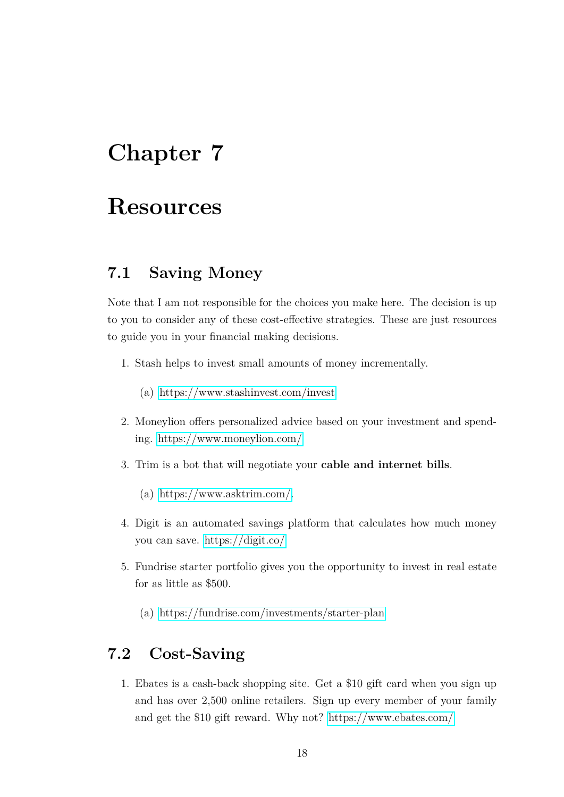# <span id="page-20-0"></span>**Resources**

### <span id="page-20-1"></span>**7.1 Saving Money**

Note that I am not responsible for the choices you make here. The decision is up to you to consider any of these cost-effective strategies. These are just resources to guide you in your financial making decisions.

- 1. Stash helps to invest small amounts of money incrementally.
	- (a)<https://www.stashinvest.com/invest>
- 2. Moneylion offers personalized advice based on your investment and spending.<https://www.moneylion.com/>
- 3. Trim is a bot that will negotiate your **cable and internet bills**.
	- (a) [https://www.asktrim.com/.](https://www.asktrim.com/)
- 4. Digit is an automated savings platform that calculates how much money you can save.<https://digit.co/>
- 5. Fundrise starter portfolio gives you the opportunity to invest in real estate for as little as \$500.
	- (a)<https://fundrise.com/investments/starter-plan>

## <span id="page-20-2"></span>**7.2 Cost-Saving**

1. Ebates is a cash-back shopping site. Get a \$10 gift card when you sign up and has over 2,500 online retailers. Sign up every member of your family and get the \$10 gift reward. Why not?<https://www.ebates.com/>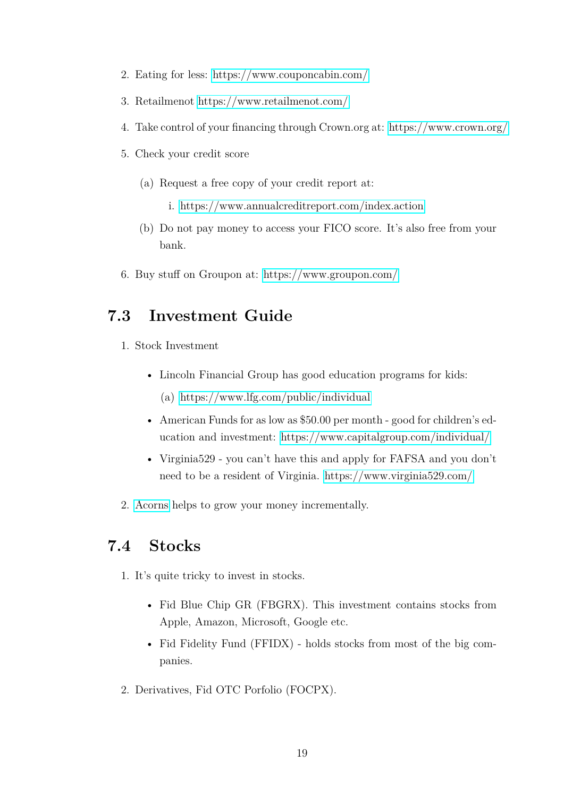- 2. Eating for less:<https://www.couponcabin.com/>
- 3. Retailmenot<https://www.retailmenot.com/>
- 4. Take control of your financing through Crown.org at:<https://www.crown.org/>
- 5. Check your credit score
	- (a) Request a free copy of your credit report at:
		- i.<https://www.annualcreditreport.com/index.action>
	- (b) Do not pay money to access your FICO score. It's also free from your bank.
- 6. Buy stuff on Groupon at:<https://www.groupon.com/>

## <span id="page-21-0"></span>**7.3 Investment Guide**

- 1. Stock Investment
	- Lincoln Financial Group has good education programs for kids:
		- (a)<https://www.lfg.com/public/individual>
	- American Funds for as low as \$50.00 per month good for children's education and investment:<https://www.capitalgroup.com/individual/>
	- Virginia<sup>529</sup> you can't have this and apply for FAFSA and you don't need to be a resident of Virginia.<https://www.virginia529.com/>
- 2. [Acorns](https://www.acorns.com/) helps to grow your money incrementally.

## <span id="page-21-1"></span>**7.4 Stocks**

- 1. It's quite tricky to invest in stocks.
	- Fid Blue Chip GR (FBGRX). This investment contains stocks from Apple, Amazon, Microsoft, Google etc.
	- Fid Fidelity Fund (FFIDX) holds stocks from most of the big companies.
- 2. Derivatives, Fid OTC Porfolio (FOCPX).